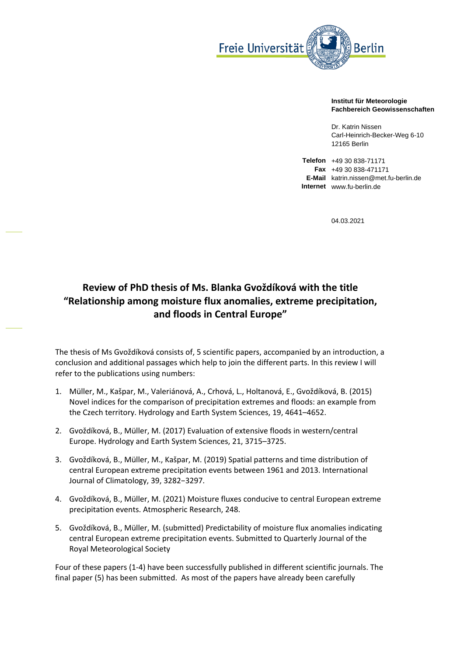

## **Institut für Meteorologie Fachbereich Geowissenschaften**

Dr. Katrin Nissen Carl-Heinrich-Becker-Weg 6-10 12165 Berlin

**Telefon** +49 30 838-71171 **Fax** +49 30 838-471171 **E-Mail** katrin.nissen@met.fu-berlin.de **Internet** www.fu-berlin.de

04.03.2021

## **Review of PhD thesis of Ms. Blanka Gvoždíková with the title "Relationship among moisture flux anomalies, extreme precipitation, and floods in Central Europe"**

The thesis of Ms Gvoždíková consists of, 5 scientific papers, accompanied by an introduction, a conclusion and additional passages which help to join the different parts. In this review I will refer to the publications using numbers:

- 1. Müller, M., Kašpar, M., Valeriánová, A., Crhová, L., Holtanová, E., Gvoždíková, B. (2015) Novel indices for the comparison of precipitation extremes and floods: an example from the Czech territory. Hydrology and Earth System Sciences, 19, 4641–4652.
- 2. Gvoždíková, B., Müller, M. (2017) Evaluation of extensive floods in western/central Europe. Hydrology and Earth System Sciences, 21, 3715–3725.
- 3. Gvoždíková, B., Müller, M., Kašpar, M. (2019) Spatial patterns and time distribution of central European extreme precipitation events between 1961 and 2013. International Journal of Climatology, 39, 3282−3297.
- 4. Gvoždíková, B., Müller, M. (2021) Moisture fluxes conducive to central European extreme precipitation events. Atmospheric Research, 248.
- 5. Gvoždíková, B., Müller, M. (submitted) Predictability of moisture flux anomalies indicating central European extreme precipitation events. Submitted to Quarterly Journal of the Royal Meteorological Society

Four of these papers (1-4) have been successfully published in different scientific journals. The final paper (5) has been submitted. As most of the papers have already been carefully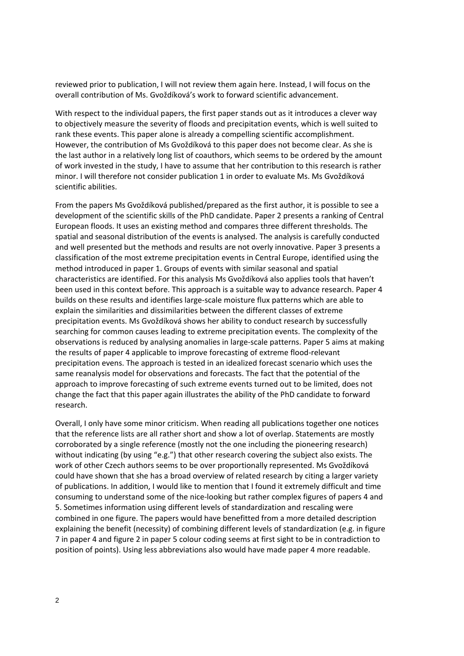reviewed prior to publication, I will not review them again here. Instead, I will focus on the overall contribution of Ms. Gvoždíková's work to forward scientific advancement.

With respect to the individual papers, the first paper stands out as it introduces a clever way to objectively measure the severity of floods and precipitation events, which is well suited to rank these events. This paper alone is already a compelling scientific accomplishment. However, the contribution of Ms Gvoždíková to this paper does not become clear. As she is the last author in a relatively long list of coauthors, which seems to be ordered by the amount of work invested in the study, I have to assume that her contribution to this research is rather minor. I will therefore not consider publication 1 in order to evaluate Ms. Ms Gvoždíková scientific abilities.

From the papers Ms Gvoždíková published/prepared as the first author, it is possible to see a development of the scientific skills of the PhD candidate. Paper 2 presents a ranking of Central European floods. It uses an existing method and compares three different thresholds. The spatial and seasonal distribution of the events is analysed. The analysis is carefully conducted and well presented but the methods and results are not overly innovative. Paper 3 presents a classification of the most extreme precipitation events in Central Europe, identified using the method introduced in paper 1. Groups of events with similar seasonal and spatial characteristics are identified. For this analysis Ms Gvoždíková also applies tools that haven't been used in this context before. This approach is a suitable way to advance research. Paper 4 builds on these results and identifies large-scale moisture flux patterns which are able to explain the similarities and dissimilarities between the different classes of extreme precipitation events. Ms Gvoždíková shows her ability to conduct research by successfully searching for common causes leading to extreme precipitation events. The complexity of the observations is reduced by analysing anomalies in large-scale patterns. Paper 5 aims at making the results of paper 4 applicable to improve forecasting of extreme flood-relevant precipitation evens. The approach is tested in an idealized forecast scenario which uses the same reanalysis model for observations and forecasts. The fact that the potential of the approach to improve forecasting of such extreme events turned out to be limited, does not change the fact that this paper again illustrates the ability of the PhD candidate to forward research.

Overall, I only have some minor criticism. When reading all publications together one notices that the reference lists are all rather short and show a lot of overlap. Statements are mostly corroborated by a single reference (mostly not the one including the pioneering research) without indicating (by using "e.g.") that other research covering the subject also exists. The work of other Czech authors seems to be over proportionally represented. Ms Gvoždíková could have shown that she has a broad overview of related research by citing a larger variety of publications. In addition, I would like to mention that I found it extremely difficult and time consuming to understand some of the nice-looking but rather complex figures of papers 4 and 5. Sometimes information using different levels of standardization and rescaling were combined in one figure. The papers would have benefitted from a more detailed description explaining the benefit (necessity) of combining different levels of standardization (e.g. in figure 7 in paper 4 and figure 2 in paper 5 colour coding seems at first sight to be in contradiction to position of points). Using less abbreviations also would have made paper 4 more readable.